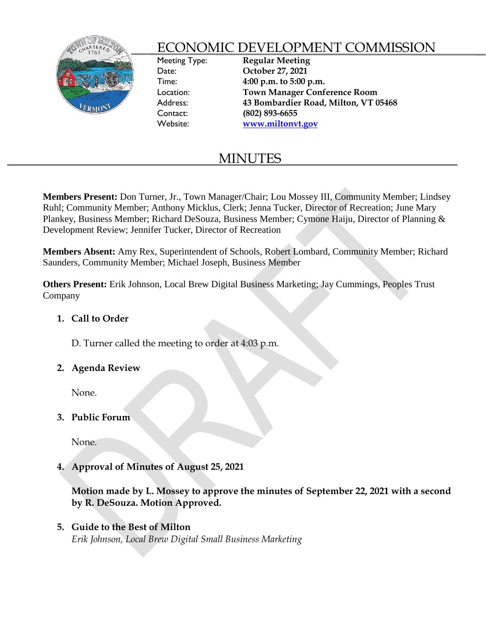

# ECONOMIC DEVELOPMENT COMMISSION

Meeting Type: **Regular Meeting** Date: **October 27, 2021** Time: **4:00 p.m. to 5:00 p.m.** Location: **Town Manager Conference Room** Address: **43 Bombardier Road, Milton, VT 05468** Contact: **(802) 893-6655**  Website: **[www.miltonvt.gov](http://www.miltonvt.gov/)**

# MINUTES

**Members Present:** Don Turner, Jr., Town Manager/Chair; Lou Mossey III, Community Member; Lindsey Ruhl; Community Member; Anthony Micklus, Clerk; Jenna Tucker, Director of Recreation; June Mary Plankey, Business Member; Richard DeSouza, Business Member; Cymone Haiju, Director of Planning & Development Review; Jennifer Tucker, Director of Recreation

**Members Absent:** Amy Rex, Superintendent of Schools, Robert Lombard, Community Member; Richard Saunders, Community Member; Michael Joseph, Business Member

**Others Present:** Erik Johnson, Local Brew Digital Business Marketing; Jay Cummings, Peoples Trust Company

## **1. Call to Order**

D. Turner called the meeting to order at 4:03 p.m.

### **2. Agenda Review**

None.

**3. Public Forum**

None.

**4. Approval of Minutes of August 25, 2021**

**Motion made by L. Mossey to approve the minutes of September 22, 2021 with a second by R. DeSouza. Motion Approved.** 

## **5. Guide to the Best of Milton**

*Erik Johnson, Local Brew Digital Small Business Marketing*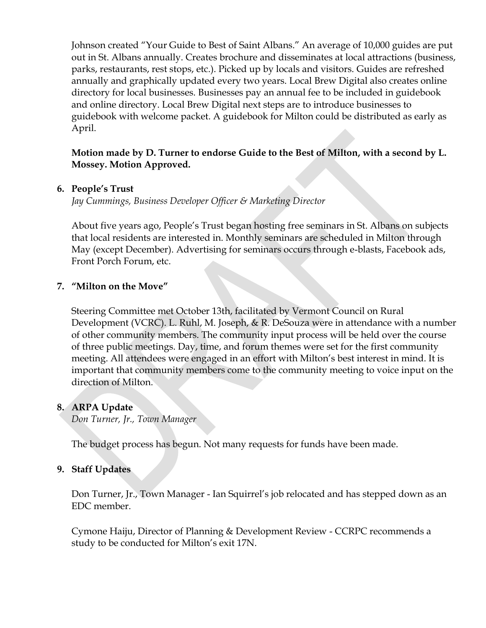Johnson created "Your Guide to Best of Saint Albans." An average of 10,000 guides are put out in St. Albans annually. Creates brochure and disseminates at local attractions (business, parks, restaurants, rest stops, etc.). Picked up by locals and visitors. Guides are refreshed annually and graphically updated every two years. Local Brew Digital also creates online directory for local businesses. Businesses pay an annual fee to be included in guidebook and online directory. Local Brew Digital next steps are to introduce businesses to guidebook with welcome packet. A guidebook for Milton could be distributed as early as April.

### **Motion made by D. Turner to endorse Guide to the Best of Milton, with a second by L. Mossey. Motion Approved.**

### **6. People's Trust**

*Jay Cummings, Business Developer Officer & Marketing Director*

About five years ago, People's Trust began hosting free seminars in St. Albans on subjects that local residents are interested in. Monthly seminars are scheduled in Milton through May (except December). Advertising for seminars occurs through e-blasts, Facebook ads, Front Porch Forum, etc.

#### **7. "Milton on the Move"**

Steering Committee met October 13th, facilitated by Vermont Council on Rural Development (VCRC). L. Ruhl, M. Joseph, & R. DeSouza were in attendance with a number of other community members. The community input process will be held over the course of three public meetings. Day, time, and forum themes were set for the first community meeting. All attendees were engaged in an effort with Milton's best interest in mind. It is important that community members come to the community meeting to voice input on the direction of Milton.

#### **8. ARPA Update**

*Don Turner, Jr., Town Manager*

The budget process has begun. Not many requests for funds have been made.

### **9. Staff Updates**

Don Turner, Jr., Town Manager - Ian Squirrel's job relocated and has stepped down as an EDC member.

Cymone Haiju, Director of Planning & Development Review - CCRPC recommends a study to be conducted for Milton's exit 17N.